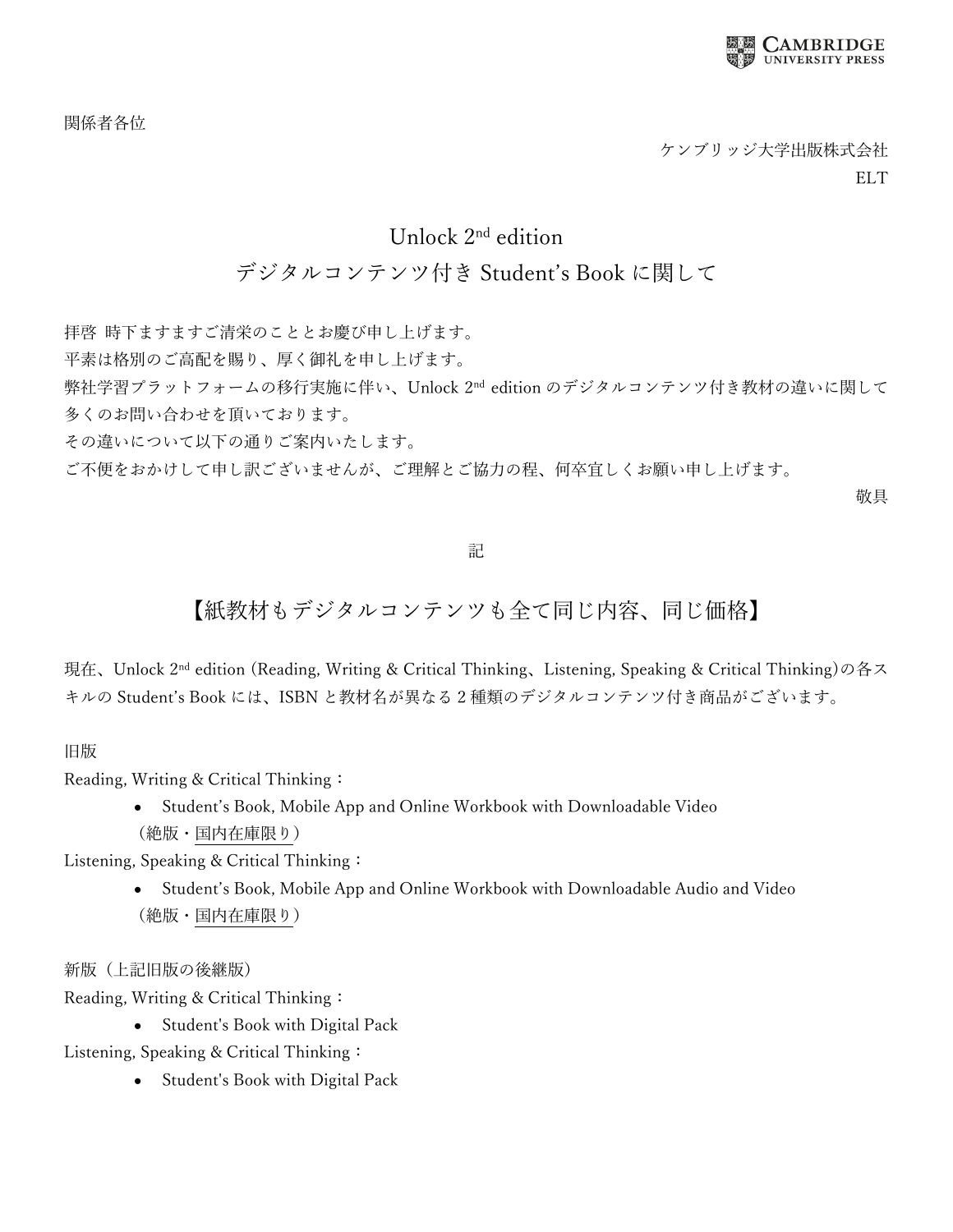

関係者各位

## Unlock 2nd edition

## デジタルコンテンツ付き Student's Book に関して

拝啓 時下ますますご清栄のこととお慶び申し上げます。

平素は格別のご高配を賜り、厚く御礼を申し上げます。

弊社学習プラットフォームの移行実施に伴い、Unlock 2nd edition のデジタルコンテンツ付き教材の違いに関して 多くのお問い合わせを頂いております。

その違いについて以下の通りご案内いたします。

ご不便をおかけして申し訳ございませんが、ご理解とご協力の程、何卒宜しくお願い申し上げます。

敬具

## 記

## 【紙教材もデジタルコンテンツも全て同じ内容、同じ価格】

現在、Unlock 2nd edition (Reading, Writing & Critical Thinking、Listening, Speaking & Critical Thinking)の各ス キルの Student's Book には、ISBN と教材名が異なる 2 種類のデジタルコンテンツ付き商品がございます。

旧版

Reading, Writing & Critical Thinking:

• Student's Book, Mobile App and Online Workbook with Downloadable Video (絶版・国内在庫限り)

Listening, Speaking & Critical Thinking:

• Student's Book, Mobile App and Online Workbook with Downloadable Audio and Video (絶版・国内在庫限り)

新版(上記旧版の後継版)

Reading, Writing & Critical Thinking:

• Student's Book with Digital Pack

Listening, Speaking & Critical Thinking:

• Student's Book with Digital Pack